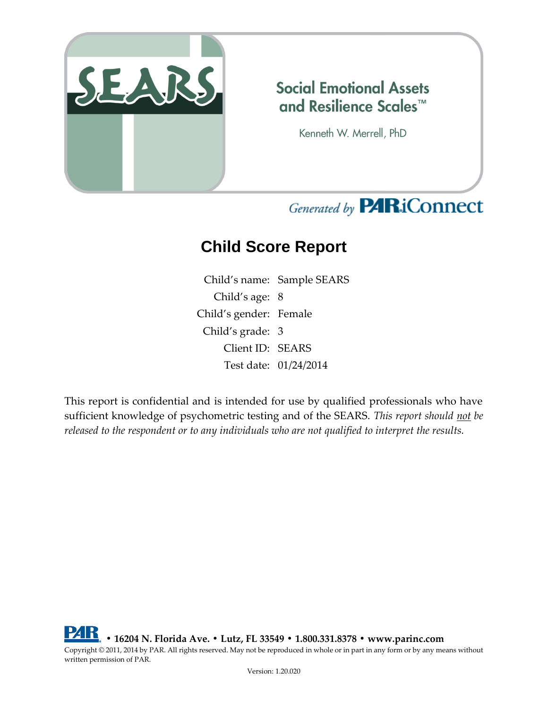

#### **Social Emotional Assets** and Resilience Scales™

Kenneth W. Merrell, PhD

# Generated by **PARiConnect**

# **Child Score Report**

Child's name: Sample SEARS Child's age: 8 Child's gender: Female Child's grade: 3 Client ID: SEARS Test date: 01/24/2014

This report is confidential and is intended for use by qualified professionals who have sufficient knowledge of psychometric testing and of the SEARS. *This report should not be released to the respondent or to any individuals who are not qualified to interpret the results.*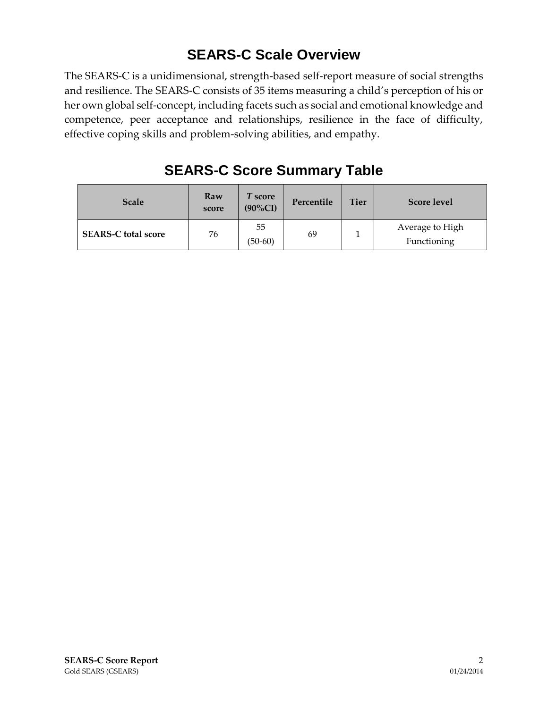#### **SEARS-C Scale Overview**

The SEARS-C is a unidimensional, strength-based self-report measure of social strengths and resilience. The SEARS-C consists of 35 items measuring a child's perception of his or her own global self-concept, including facets such as social and emotional knowledge and competence, peer acceptance and relationships, resilience in the face of difficulty, effective coping skills and problem-solving abilities, and empathy.

| <b>Scale</b>               | Raw<br>score | T score<br>$(90\%CI)$ | Percentile | <b>Tier</b> | <b>Score level</b>             |
|----------------------------|--------------|-----------------------|------------|-------------|--------------------------------|
| <b>SEARS-C total score</b> | 76           | 55<br>$(50-60)$       | 69         |             | Average to High<br>Functioning |

#### **SEARS-C Score Summary Table**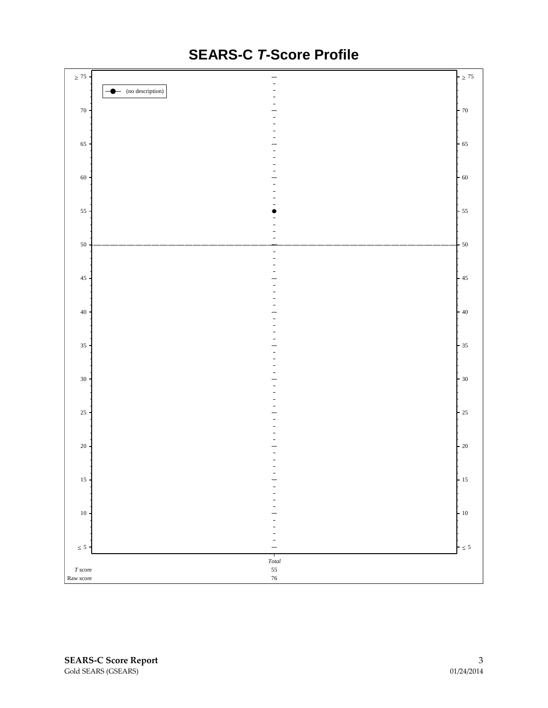

### **SEARS-C** *T***-Score Profile**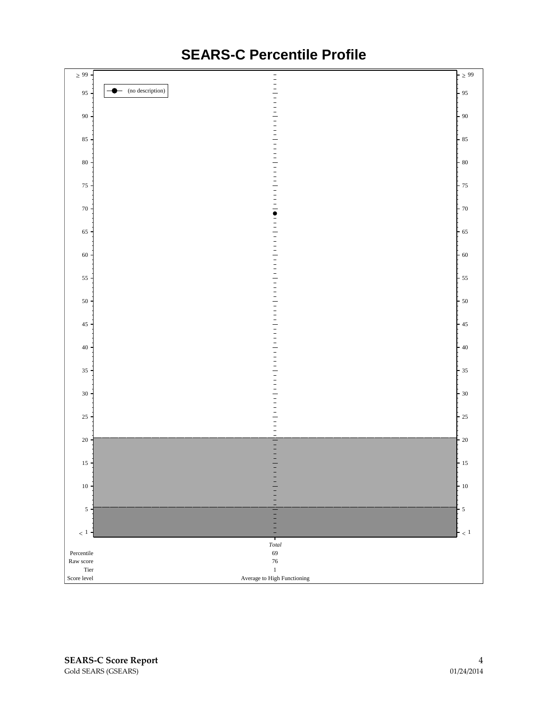

### **SEARS-C Percentile Profile**